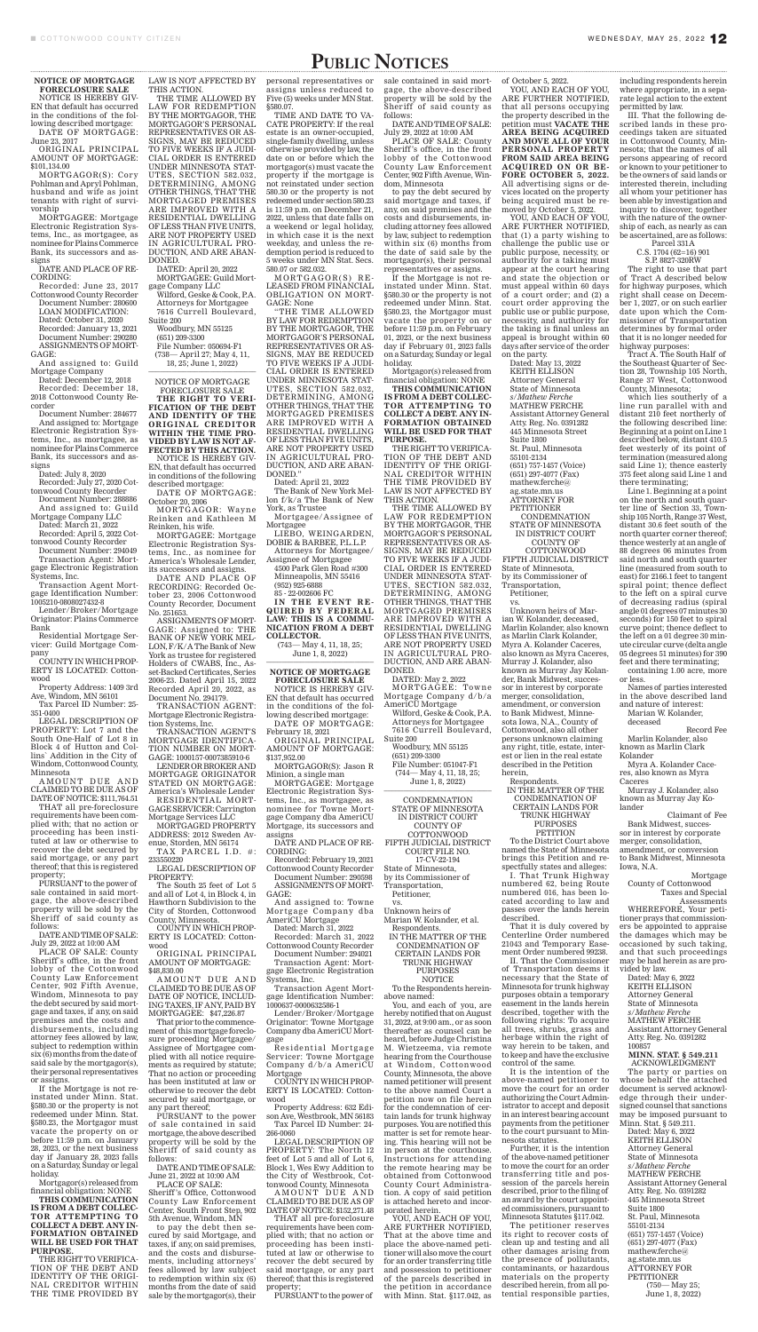## PUBLIC NOTICES

**NOTICE OF MORTGAGE FORECLOSURE SALE** 

NOTICE IS HEREBY GIV-EN that default has occurred in the conditions of the following described mortgage: DATE OF MORTGAGE:

June 23, 2017 ORIGINAL PRINCIPAL

AMOUNT OF MORTGAGE: \$101,134.00

MORTGAGOR(S): Cory Pohlman and Apryl Pohlman, husband and wife as joint tenants with right of survivorship

MORTGAGEE: Mortgage Electronic Registration Systems, Inc., as mortgagee, as nominee for Plains Commerce Bank, its successors and assigns

DATE AND PLACE OF RE-CORDING:

Recorded: June 23, 2017 Cottonwood County Recorder Document Number: 280600 LOAN MODIFICATION: Dated: October 31, 2020 Recorded: January 13, 2021 Document Number: 290280 ASSIGNMENTS OF MORT-GAGE:

And assigned to: Guild Mortgage Company

Dated: December 12, 2018 Recorded: December 18, 2018 Cottonwood County Recorder

AMOUNT DUE AND CLAIMED TO BE DUE AS OF DATE OF NOTICE: \$111,764.51

Document Number: 284677 And assigned to: Mortgage Electronic Registration Systems, Inc., as mortgagee, as nominee for Plains Commerce Bank, its successors and assigns

Dated: July 8, 2020 Recorded: July 27, 2020 Cot-

tonwood County Recorder Document Number: 288886 And assigned to: Guild

Mortgage Company LLC Dated: March 21, 2022

Recorded: April 5, 2022 Cottonwood County Recorder Document Number: 294049

Transaction Agent: Mortgage Electronic Registration Systems, Inc.

Transaction Agent Mortgage Identification Number: 1005210-0808027432-8

Lender/Broker/Mortgage Originator: Plains Commerce Bank

Residential Mortgage Servicer: Guild Mortgage Company

COUNTY IN WHICH PROP-ERTY IS LOCATED: Cottonwood

Property Address: 1409 3rd Ave, Windom, MN 56101

Tax Parcel ID Number: 25- 351-0400

LEGAL DESCRIPTION OF PROPERTY: Lot 7 and the South One-Half of Lot 8 in Block 4 of Hutton and Collins` Addition in the City of Windom, Cottonwood County,

Minnesota

THAT all pre-foreclosure requirements have been complied with; that no action or proceeding has been instituted at law or otherwise to recover the debt secured by said mortgage, or any part thereof; that this is registered property;

PURSUANT to the power of sale contained in said mortgage, the above-described property will be sold by the Sheriff of said county as follows:

DATE AND TIME OF SALE: July 29, 2022 at 10:00 AM

PLACE OF SALE: County Sheriff`s office, in the front lobby of the Cottonwood County Law Enforcement Center, 902 Fifth Avenue, Windom, Minnesota to pay the debt secured by said mortgage and taxes, if any, on said premises and the costs and disbursements, including attorney fees allowed by law, subject to redemption within six (6) months from the date of said sale by the mortgagor(s), their personal representatives or assigns.

TAX PARCEL I.D. #: 233550220

AMOUNT DUE AND CLAIMED TO BE DUE AS OF DATE OF NOTICE, INCLUD-ING TAXES, IF ANY, PAID BY MORTGAGEE: \$47,226.87

If the Mortgage is not reinstated under Minn. Stat. §580.30 or the property is not redeemed under Minn. Stat. §580.23, the Mortgagor must vacate the property on or before 11:59 p.m. on January 28, 2023, or the next business day if January 28, 2023 falls on a Saturday, Sunday or legal holiday.

Mortgagor(s) released from financial obligation: NONE

**THIS COMMUNICATION IS FROM A DEBT COLLEC-TOR ATTEMPTING TO COLLECT A DEBT. ANY IN-FORMATION OBTAINED WILL BE USED FOR THAT PURPOSE.** 

THE RIGHT TO VERIFICA-TION OF THE DEBT AND IDENTITY OF THE ORIGI-NAL CREDITOR WITHIN THE TIME PROVIDED BY LAW IS NOT AFFECTED BY THIS ACTION.

ARE IMPROVED WITH A RESIDENTIAL DWELLING OF LESS THAN FIVE UNITS, ARE NOT PROPERTY USED IN AGRICULTURAL PRO-DUCTION, AND ARE ABAN-DONED.

DATED: April 20, 2022 MORTGAGEE: Guild Mort-

gage Company LLC Wilford, Geske & Cook, P.A. Attorneys for Mortgagee 7616 Currell Boulevard,

Suite 200 Woodbury, MN 55125

(651) 209-3300 File Number: 050694-F1 (738— April 27; May 4, 11, 18, 25; June 1, 2022) \_\_\_\_\_\_\_\_\_\_\_\_\_\_\_\_\_\_\_\_\_\_\_\_\_\_\_\_

> (743— May 4, 11, 18, 25; June 1, 8, 2022)

NOTICE OF MORTGAGE FORECLOSURE SALE **THE RIGHT TO VERI-FICATION OF THE DEBT** 

**AND IDENTITY OF THE ORIGINAL CREDITOR WITHIN THE TIME PRO-VIDED BY LAW IS NOT AF-FECTED BY THIS ACTION.** NOTICE IS HEREBY GIV-EN, that default has occurred in conditions of the following described mortgage:

DATE OF MORTGAGE: October 20, 2006 MORTGAGOR: Wayne

Reinken and Kathleen M Reinken, his wife.

MORTGAGEE: Mortgage Electronic Registration Systems, Inc., as nominee for America's Wholesale Lender, its successors and assigns.

> Residential Mortgage Servicer: Towne Mortgage Company d/b/a AmeriCU Mortgage

DATE AND PLACE OF RECORDING: Recorded October 23, 2006 Cottonwood County Recorder, Document No. 251653.

> AMOUNT DUE AND CLAIMED TO BE DUE AS OF DATE OF NOTICE: \$152,271.48

ASSIGNMENTS OF MORT-GAGE: Assigned to: THE BANK OF NEW YORK MEL-LON, F/K/A The Bank of New York as trustee for registered Holders of CWABS, Inc., Asset-Backed Certificates, Series 2006-23. Dated April 15, 2022 Recorded April 20, 2022, as Document No. 294179.

TRANSACTION AGENT: Mortgage Electronic Registration Systems, Inc.

THE TIME ALLOWED BY LAW FOR REDEMPTION BY THE MORTGAGOR, THE MORTGAGOR'S PERSONAL REPRESENTATIVES OR AS-SIGNS, MAY BE REDUCED TO FIVE WEEKS IF A JUDI-CIAL ORDER IS ENTERED UNDER MINNESOTA STAT-UTES, SECTION 582.032, DETERMINING, AMONG OTHER THINGS, THAT THE MORTGAGED PREMISES §580.07.

TRANSACTION AGENT'S MORTGAGE IDENTIFICA-TION NUMBER ON MORT-GAGE: 1000157-0007385910-6

LENDER OR BROKER AND

MORTGAGE ORIGINATOR Minion, a single man STATED ON MORTGAGE: America's Wholesale Lender RESIDENTIAL MORT-

GAGE SERVICER: Carrington Mortgage Services LLC

MORTGAGED PROPERTY ADDRESS: 2012 Sweden Avenue, Storden, MN 56174

LEGAL DESCRIPTION OF PROPERTY:

The South 25 feet of Lot 5 and all of Lot 4, in Block 4, in Hawthorn Subdivision to the City of Storden, Cottonwood County, Minnesota.

COUNTY IN WHICH PROP-ERTY IS LOCATED: Cottonwood

ORIGINAL PRINCIPAL AMOUNT OF MORTGAGE: \$48,830.00

(744— May 4, 11, 18, 25; June 1, 8, 2022)

That prior to the commencement of this mortgage foreclosure proceeding Mortgagee/ Assignee of Mortgagee complied with all notice requirements as required by statute; That no action or proceeding has been instituted at law or otherwise to recover the debt secured by said mortgage, or any part thereof;

**CONDEMNATION** STATE OF MINNESOTA IN DISTRICT COURT COUNTY OF COTTONWOOD FIFTH JUDICIAL DISTRICT COURT FILE NO. 17-CV-22-194 State of Minnesota, by its Commissioner of Transportation, Petitioner, vs. Unknown heirs of

Marian W. Kolander, et al. Respondents. IN THE MATTER OF THE CONDEMNATION OF CERTAIN LANDS FOR TRUNK HIGHWAY PURPOSES **NOTICE** 

PURSUANT to the power of sale contained in said mortgage, the above described property will be sold by the Sheriff of said county as follows:

DATE AND TIME OF SALE: June 21, 2022 at 10:00 AM

PLACE OF SALE: Sheriff 's Office, Cottonwood County Law Enforcement Center, South Front Step, 902 5th Avenue, Windom, MN

to pay the debt then secured by said Mortgage, and taxes, if any, on said premises, and the costs and disbursements, including attorneys' fees allowed by law subject to redemption within six (6) months from the date of said sale by the mortgagor(s), their

personal representatives or assigns unless reduced to Five (5) weeks under MN Stat.

TIME AND DATE TO VA-CATE PROPERTY: If the real estate is an owner-occupied, single-family dwelling, unless otherwise provided by law, the date on or before which the mortgagor(s) must vacate the property if the mortgage is not reinstated under section 580.30 or the property is not redeemed under section 580.23 is 11:59 p.m. on December 21, 2022, unless that date falls on a weekend or legal holiday, in which case it is the next weekday, and unless the redemption period is reduced to 5 weeks under MN Stat. Secs. 580.07 or 582.032.

> Unknown heirs of Marian W. Kolander, deceased, Marlin Kolander, also known as Marlin Clark Kolander, Myra A. Kolander Caceres, also known as Myra Caceres, Murray J. Kolander, also known as Murray Jay Kolander, Bank Midwest, successor in interest by corporate merger, consolidation, amendment, or conversion to Bank Midwest, Minnesota Iowa, N.A., County of Cottonwood, also all other persons unknown claiming any right, title, estate, interest or lien in the real estate described in the Petition herein, Respondents. IN THE MATTER OF THE CONDEMNATION OF CERTAIN LANDS FOR TRUNK HIGHWAY PURPOSES **PETITION**

MORTGAGOR(S) RE - LEASED FROM FINANCIAL OBLIGATION ON MORT-GAGE: None

"THE TIME ALLOWED BY LAW FOR REDEMPTION BY THE MORTGAGOR, THE MORTGAGOR'S PERSONAL REPRESENTATIVES OR AS-SIGNS, MAY BE REDUCED TO FIVE WEEKS IF A JUDI-CIAL ORDER IS ENTERED UNDER MINNESOTA STAT-UTES, SECTION 582.032, DETERMINING, AMONG OTHER THINGS, THAT THE MORTGAGED PREMISES ARE IMPROVED WITH A RESIDENTIAL DWELLING OF LESS THAN FIVE UNITS, ARE NOT PROPERTY USED IN AGRICULTURAL PRO-DUCTION, AND ARE ABAN-DONED."

Dated: April 21, 2022

The Bank of New York Mellon f/k/a The Bank of New York, as Trustee

Mortgagee/Assignee of Mortgagee

LIEBO, WEINGARDEN, DOBIE & BARBEE, P.L.L.P. Attorneys for Mortgagee/

Assignee of Mortgagee 4500 Park Glen Road #300

Minneapolis, MN 55416 (952) 925-6888

85 - 22-002606 FC

**IN THE EVENT RE-QUIRED BY FEDERAL LAW: THIS IS A COMMU-NICATION FROM A DEBT COLLECTOR.**

**NOTICE OF MORTGAGE FORECLOSURE SALE** 

NOTICE IS HEREBY GIV-EN that default has occurred in the conditions of the following described mortgage: DATE OF MORTGAGE:

February 18, 2021 ORIGINAL PRINCIPAL AMOUNT OF MORTGAGE:

\$137,952.00 MORTGAGOR(S): Jason R

MORTGAGEE: Mortgage Electronic Registration Systems, Inc., as mortgagee, as nominee for Towne Mortgage Company dba AmeriCU Mortgage, its successors and assigns

DATE AND PLACE OF RE-CORDING:

Recorded: February 19, 2021 Cottonwood County Recorder Document Number: 290598 ASSIGNMENTS OF MORT-GAGE:

And assigned to: Towne Mortgage Company dba AmeriCU Mortgage Dated: March 31, 2022

Recorded: March 31, 2022 Cottonwood County Recorder

Document Number: 294021 Transaction Agent: Mortgage Electronic Registration Systems, Inc.

Transaction Agent Mortgage Identification Number: 1000637-0000632586-1

Lender/Broker/Mortgage Originator: Towne Mortgage Company dba AmeriCU Mortgage

COUNTY IN WHICH PROP-ERTY IS LOCATED: Cottonwood

Property Address: 632 Edison Ave, Westbrook, MN 56183 Tax Parcel ID Number: 24- 266-0060

LEGAL DESCRIPTION OF PROPERTY: The North 12 feet of Lot 5 and all of Lot 6, Block 1, Wes Ewy Addition to the City of Westbrook, Cottonwood County, Minnesota

THAT all pre-foreclosure requirements have been complied with; that no action or proceeding has been instituted at law or otherwise to recover the debt secured by said mortgage, or any part thereof; that this is registered property;

PURSUANT to the power of

sale contained in said mortgage, the above-described property will be sold by the Sheriff of said county as follows:

DATE AND TIME OF SALE: July 29, 2022 at 10:00 AM

PLACE OF SALE: County Sheriff 's office, in the front lobby of the Cottonwood County Law Enforcement Center, 902 Fifth Avenue, Windom, Minnesota

to pay the debt secured by said mortgage and taxes, if any, on said premises and the costs and disbursements, including attorney fees allowed by law, subject to redemption within six (6) months from the date of said sale by the mortgagor(s), their personal representatives or assigns.

If the Mortgage is not reinstated under Minn. Stat. §580.30 or the property is not redeemed under Minn. Stat. §580.23, the Mortgagor must vacate the property on or before 11:59 p.m. on February 01, 2023, or the next business day if February 01, 2023 falls on a Saturday, Sunday or legal holiday.

Mortgagor(s) released from financial obligation: NONE

**THIS COMMUNICATION IS FROM A DEBT COLLEC-TOR ATTEMPTING TO COLLECT A DEBT. ANY IN-FORMATION OBTAINED WILL BE USED FOR THAT PURPOSE.** 

THE RIGHT TO VERIFICA-TION OF THE DEBT AND IDENTITY OF THE ORIGI-NAL CREDITOR WITHIN THE TIME PROVIDED BY LAW IS NOT AFFECTED BY THIS ACTION.

THE TIME ALLOWED BY LAW FOR REDEMPTION BY THE MORTGAGOR, THE MORTGAGOR'S PERSONAL REPRESENTATIVES OR AS-SIGNS, MAY BE REDUCED TO FIVE WEEKS IF A JUDI-CIAL ORDER IS ENTERED UNDER MINNESOTA STAT-UTES, SECTION 582.032, DETERMINING, AMONG OTHER THINGS, THAT THE MORTGAGED PREMISES ARE IMPROVED WITH A RESIDENTIAL DWELLING OF LESS THAN FIVE UNITS, ARE NOT PROPERTY USED IN AGRICULTURAL PRO-DUCTION, AND ARE ABAN-DONED.

DATED: May 2, 2022 MORTGAGEE: Towne Mortgage Company d/b/a

AmeriCU Mortgage Wilford, Geske & Cook, P.A. Attorneys for Mortgagee 7616 Currell Boulevard,

Suite 200 Woodbury, MN 55125 (651) 209-3300 File Number: 051047-F1

To the Respondents hereinabove named:

You, and each of you, are hereby notified that on August 31, 2022, at 9:00 am., or as soon thereafter as counsel can be heard, before Judge Christina M. Wietzeema, via remote hearing from the Courthouse at Windom, Cottonwood County, Minnesota, the above named petitioner will present to the above named Court a petition now on file herein for the condemnation of certain lands for trunk highway purposes. You are notified this matter is set for remote hearing. This hearing will not be in person at the courthouse. Instructions for attending the remote hearing may be obtained from Cottonwood County Court Administration. A copy of said petition is attached hereto and incorporated herein.

YOU, AND EACH OF YOU, ARE FURTHER NOTIFIED, That at the above time and place the above-named petitioner will also move the court for an order transferring title and possession to petitioner of the parcels described in the petition in accordance with Minn. Stat. §117.042, as

of October 5, 2022.

YOU, AND EACH OF YOU, ARE FURTHER NOTIFIED, that all persons occupying the property described in the petition must **VACATE THE AREA BEING ACQUIRED AND MOVE ALL OF YOUR PERSONAL PROPERTY FROM SAID AREA BEING ACQUIRED ON OR BE-FORE OCTOBER 5, 2022.** All advertising signs or devices located on the property being acquired must be removed by October 5, 2022.

YOU, AND EACH OF YOU, ARE FURTHER NOTIFIED, that (1) a party wishing to challenge the public use or public purpose, necessity, or authority for a taking must appear at the court hearing and state the objection or must appeal within 60 days of a court order; and (2) a court order approving the public use or public purpose, necessity, and authority for the taking is final unless an appeal is brought within 60 days after service of the order on the party.

Dated: May 13, 2022 KEITH ELLISON Attorney General State of Minnesota *s/Mathew Ferche* MATHEW FERCHE Assistant Attorney General Atty. Reg. No. 0391282 445 Minnesota Street Suite 1800 St. Paul, Minnesota 55101-2134 (651) 757-1457 (Voice) (651) 297-4077 (Fax) mathew.ferche@ ag.state.mn.us ATTORNEY FOR **PETITIONER** CONDEMNATION

STATE OF MINNESOTA IN DISTRICT COURT COUNTY OF

COTTONWOOD FIFTH JUDICIAL DISTRICT State of Minnesota, by its Commissioner of Transportation, Petitioner,

vs.

To the District Court above named the State of Minnesota brings this Petition and respectfully states and alleges:

I. That Trunk Highway numbered 62, being Route numbered 016, has been located according to law and passes over the lands herein described.

That it is duly covered by Centerline Order numbered 21043 and Temporary Easement Order numbered 99238.

II. That the Commissioner of Transportation deems it necessary that the State of Minnesota for trunk highway purposes obtain a temporary easement in the lands herein described, together with the following rights: To acquire all trees, shrubs, grass and herbage within the right of way herein to be taken, and to keep and have the exclusive control of the same.

It is the intention of the above-named petitioner to move the court for an order authorizing the Court Administrator to accept and deposit in an interest bearing account payments from the petitioner to the court pursuant to Minnesota statutes.

Further, it is the intention of the above-named petitioner to move the court for an order transferring title and possession of the parcels herein described, prior to the filing of an award by the court appointed commissioners, pursuant to Minnesota Statutes §117.042.

The petitioner reserves its right to recover costs of clean up and testing and all other damages arising from the presence of pollutants, contaminants, or hazardous materials on the property described herein, from all potential responsible parties,

including respondents herein where appropriate, in a separate legal action to the extent permitted by law.

III. That the following described lands in these proceedings taken are situated in Cottonwood County, Minnesota; that the names of all persons appearing of record or known to your petitioner to be the owners of said lands or interested therein, including all whom your petitioner has been able by investigation and inquiry to discover, together with the nature of the ownership of each, as nearly as can be ascertained, are as follows:

> Parcel 331A C.S. 1704 (62=16) 901

S.P. 8827-320RW

The right to use that part of Tract A described below for highway purposes, which right shall cease on December 1, 2027, or on such earlier date upon which the Commissioner of Transportation determines by formal order that it is no longer needed for highway purposes:

Tract A. The South Half of the Southeast Quarter of Section 28, Township 105 North, Range 37 West, Cottonwood County, Minnesota;

which lies southerly of a line run parallel with and distant 210 feet northerly of the following described line: Beginning at a point on Line 1 described below, distant 410.5 feet westerly of its point of termination (measured along said Line 1); thence easterly 375 feet along said Line 1 and there terminating;

Line 1. Beginning at a point on the north and south quarter line of Section 33, Township 105 North, Range 37 West, distant 30.6 feet south of the north quarter corner thereof; thence westerly at an angle of 88 degrees 06 minutes from said north and south quarter line (measured from south to east) for 2166.1 feet to tangent spiral point; thence deflect to the left on a spiral curve of decreasing radius (spiral angle 01 degrees 07 minutes 30 seconds) for 150 feet to spiral curve point; thence deflect to the left on a 01 degree 30 minute circular curve (delta angle 05 degrees 51 minutes) for 390 feet and there terminating;

containing 1.00 acre, more or less.

Names of parties interested in the above described land and nature of interest:

Marian W. Kolander, deceased

Record Fee Marlin Kolander, also known as Marlin Clark

Kolander Myra A. Kolander Cace-

res, also known as Myra Caceres

Murray J. Kolander, also known as Murray Jay Kolander

Claimant of Fee Bank Midwest, successor in interest by corporate merger, consolidation, amendment, or conversion to Bank Midwest, Minnesota Iowa, N.A.

Mortgage County of Cottonwood Taxes and Special

Assessments WHEREFORE, Your petitioner prays that commissioners be appointed to appraise the damages which may be occasioned by such taking, and that such proceedings may be had herein as are provided by law.

Dated: May 6, 2022 KEITH ELLISON Attorney General State of Minnesota *s/Mathew Ferche* MATHEW FERCHE Assistant Attorney General Atty. Reg. No. 0391282 100857

**MINN. STAT. § 549.211** ACKNOWLEDGMENT

The party or parties on whose behalf the attached document is served acknowledge through their undersigned counsel that sanctions may be imposed pursuant to Minn. Stat. § 549.211.

Dated: May 6, 2022 KEITH ELLISON Attorney General State of Minnesota *s/Mathew Ferche* MATHEW FERCHE Assistant Attorney General Atty. Reg. No. 0391282 445 Minnesota Street Suite 1800 St. Paul, Minnesota 55101-2134 (651) 757-1457 (Voice) (651) 297-4077 (Fax) mathew.ferche@ ag.state.mn.us ATTORNEY FOR PETITIONER

(750— May 25; June 1, 8, 2022)